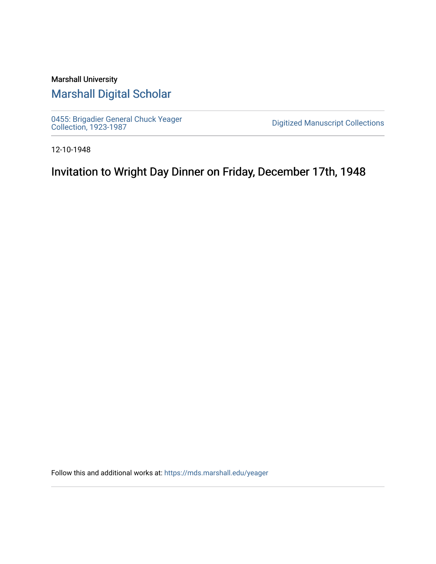## Marshall University [Marshall Digital Scholar](https://mds.marshall.edu/)

[0455: Brigadier General Chuck Yeager](https://mds.marshall.edu/yeager)  [Collection, 1923-1987](https://mds.marshall.edu/yeager) [Digitized Manuscript Collections](https://mds.marshall.edu/sc_digitized) 

12-10-1948

Invitation to Wright Day Dinner on Friday, December 17th, 1948

Follow this and additional works at: [https://mds.marshall.edu/yeager](https://mds.marshall.edu/yeager?utm_source=mds.marshall.edu%2Fyeager%2F95&utm_medium=PDF&utm_campaign=PDFCoverPages)